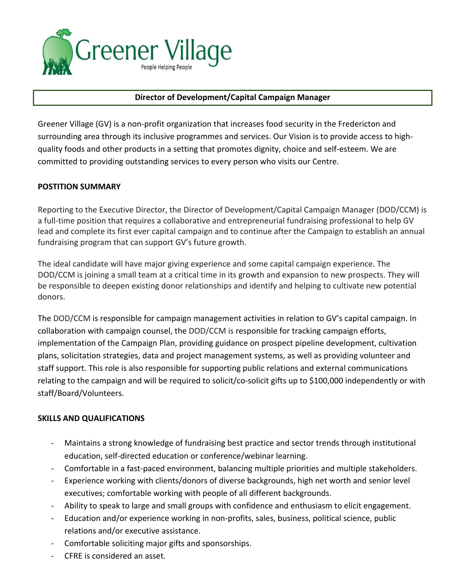

### **Director of Development/Capital Campaign Manager**

Greener Village (GV) is a non-profit organization that increases food security in the Fredericton and surrounding area through its inclusive programmes and services. Our Vision is to provide access to highquality foods and other products in a setting that promotes dignity, choice and self-esteem. We are committed to providing outstanding services to every person who visits our Centre.

### **POSTITION SUMMARY**

Reporting to the Executive Director, the Director of Development/Capital Campaign Manager (DOD/CCM) is a full-time position that requires a collaborative and entrepreneurial fundraising professional to help GV lead and complete its first ever capital campaign and to continue after the Campaign to establish an annual fundraising program that can support GV's future growth.

The ideal candidate will have major giving experience and some capital campaign experience. The DOD/CCM is joining a small team at a critical time in its growth and expansion to new prospects. They will be responsible to deepen existing donor relationships and identify and helping to cultivate new potential donors.

The DOD/CCM is responsible for campaign management activities in relation to GV's capital campaign. In collaboration with campaign counsel, the DOD/CCM is responsible for tracking campaign efforts, implementation of the Campaign Plan, providing guidance on prospect pipeline development, cultivation plans, solicitation strategies, data and project management systems, as well as providing volunteer and staff support. This role is also responsible for supporting public relations and external communications relating to the campaign and will be required to solicit/co-solicit gifts up to \$100,000 independently or with staff/Board/Volunteers.

### **SKILLS AND QUALIFICATIONS**

- Maintains a strong knowledge of fundraising best practice and sector trends through institutional education, self-directed education or conference/webinar learning.
- Comfortable in a fast-paced environment, balancing multiple priorities and multiple stakeholders.
- Experience working with clients/donors of diverse backgrounds, high net worth and senior level executives; comfortable working with people of all different backgrounds.
- Ability to speak to large and small groups with confidence and enthusiasm to elicit engagement.
- Education and/or experience working in non-profits, sales, business, political science, public relations and/or executive assistance.
- Comfortable soliciting major gifts and sponsorships.
- CFRE is considered an asset.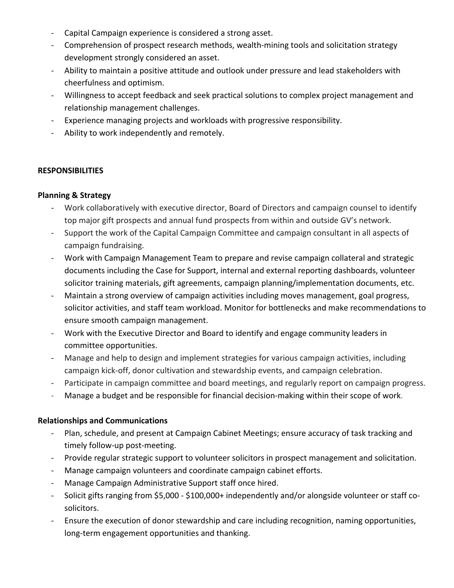- Capital Campaign experience is considered a strong asset.
- Comprehension of prospect research methods, wealth-mining tools and solicitation strategy development strongly considered an asset.
- Ability to maintain a positive attitude and outlook under pressure and lead stakeholders with cheerfulness and optimism.
- Willingness to accept feedback and seek practical solutions to complex project management and relationship management challenges.
- Experience managing projects and workloads with progressive responsibility.
- Ability to work independently and remotely.

# **RESPONSIBILITIES**

### **Planning & Strategy**

- Work collaboratively with executive director, Board of Directors and campaign counsel to identify top major gift prospects and annual fund prospects from within and outside GV's network.
- Support the work of the Capital Campaign Committee and campaign consultant in all aspects of campaign fundraising.
- Work with Campaign Management Team to prepare and revise campaign collateral and strategic documents including the Case for Support, internal and external reporting dashboards, volunteer solicitor training materials, gift agreements, campaign planning/implementation documents, etc.
- Maintain a strong overview of campaign activities including moves management, goal progress, solicitor activities, and staff team workload. Monitor for bottlenecks and make recommendations to ensure smooth campaign management.
- Work with the Executive Director and Board to identify and engage community leaders in committee opportunities.
- Manage and help to design and implement strategies for various campaign activities, including campaign kick-off, donor cultivation and stewardship events, and campaign celebration.
- Participate in campaign committee and board meetings, and regularly report on campaign progress.
- Manage a budget and be responsible for financial decision-making within their scope of work.

# **Relationships and Communications**

- Plan, schedule, and present at Campaign Cabinet Meetings; ensure accuracy of task tracking and timely follow-up post-meeting.
- Provide regular strategic support to volunteer solicitors in prospect management and solicitation.
- Manage campaign volunteers and coordinate campaign cabinet efforts.
- Manage Campaign Administrative Support staff once hired.
- Solicit gifts ranging from \$5,000 \$100,000+ independently and/or alongside volunteer or staff cosolicitors.
- Ensure the execution of donor stewardship and care including recognition, naming opportunities, long-term engagement opportunities and thanking.